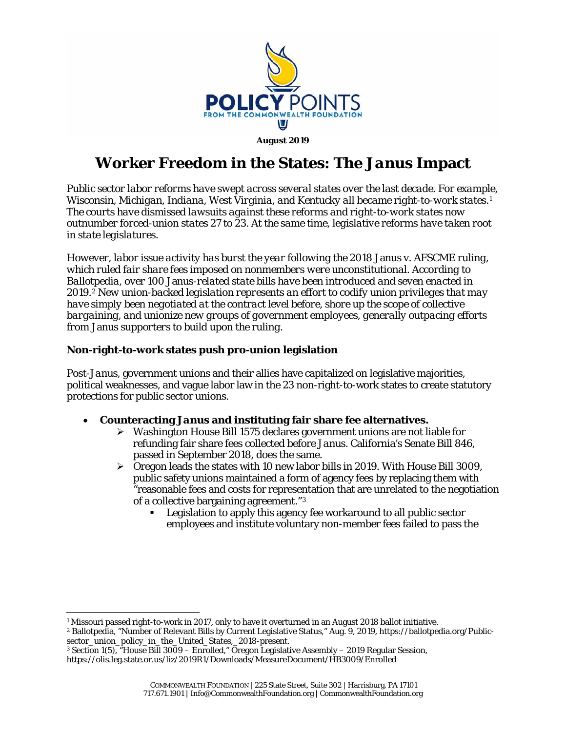

**August 2019**

# **Worker Freedom in the States: The** *Janus* **Impact**

*Public sector labor reforms have swept across several states over the last decade. For example, Wisconsin, Michigan, Indiana, West Virginia, and Kentucky all became right-to-work states.[1](#page-0-0) The courts have dismissed lawsuits against these reforms and right-to-work states now outnumber forced-union states 27 to 23. At the same time, legislative reforms have taken root in state legislatures.*

*However, labor issue activity has burst the year following the 2018* Janus v. AFSCME *ruling, which ruled fair share fees imposed on nonmembers were unconstitutional. According to Ballotpedia, over 100* Janus*-related state bills have been introduced and seven enacted in 2019.[2](#page-0-1) New union-backed legislation represents an effort to codify union privileges that may have simply been negotiated at the contract level before, shore up the scope of collective bargaining, and unionize new groups of government employees, generally outpacing efforts from* Janus *supporters to build upon the ruling.*

### **Non-right-to-work states push pro-union legislation**

Post-*Janus*, government unions and their allies have capitalized on legislative majorities, political weaknesses, and vague labor law in the 23 non-right-to-work states to create statutory protections for public sector unions.

- **Counteracting** *Janus* **and instituting fair share fee alternatives.**
	- $\triangleright$  Washington House Bill 1575 declares government unions are not liable for refunding fair share fees collected before *Janus*. California's Senate Bill 846, passed in September 2018, does the same.
	- Oregon leads the states with 10 new labor bills in 2019. With House Bill 3009, public safety unions maintained a form of agency fees by replacing them with "reasonable fees and costs for representation that are unrelated to the negotiation of a collective bargaining agreement."[3](#page-0-2)
		- Legislation to apply this agency fee workaround to all public sector employees and institute voluntary non-member fees failed to pass the

<span id="page-0-0"></span> <sup>1</sup> Missouri passed right-to-work in 2017, only to have it overturned in an August <sup>2018</sup> ballot initiative.

<span id="page-0-1"></span><sup>2</sup> Ballotpedia, "Number of Relevant Bills by Current Legislative Status," Aug. 9, 2019, https://ballotpedia.org/Publicsector\_union\_policy\_in\_the\_United\_States,\_2018-present.

<span id="page-0-2"></span><sup>3</sup> Section 1(5), "House Bill 3009 – Enrolled," Oregon Legislative Assembly – 2019 Regular Session, https://olis.leg.state.or.us/liz/2019R1/Downloads/MeasureDocument/HB3009/Enrolled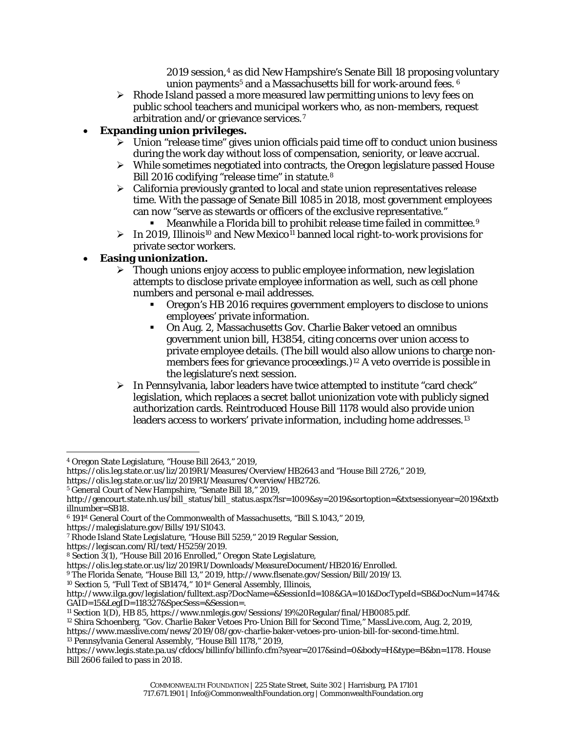2019 session,[4](#page-1-0) as did New Hampshire's Senate Bill 18 proposing voluntary union payments<sup>[5](#page-1-1)</sup> and a Massachusetts bill for work-around fees. <sup>[6](#page-1-2)</sup>

 $\triangleright$  Rhode Island passed a more measured law permitting unions to levy fees on public school teachers and municipal workers who, as non-members, request arbitration and/or grievance services.[7](#page-1-3)

### • **Expanding union privileges.**

- $\triangleright$  Union "release time" gives union officials paid time off to conduct union business during the work day without loss of compensation, seniority, or leave accrual.
- $\triangleright$  While sometimes negotiated into contracts, the Oregon legislature passed House Bill 2016 codifying "release time" in statute.[8](#page-1-4)
- $\triangleright$  California previously granted to local and state union representatives release time. With the passage of Senate Bill 1085 in 2018, most government employees can now "serve as stewards or officers of the exclusive representative."
	- Meanwhile a Florida bill to *prohibit* release time failed in committee.[9](#page-1-5)
- $\triangleright$  In 2019, Illinois<sup>[10](#page-1-6)</sup> and New Mexico<sup>[11](#page-1-7)</sup> banned local right-to-work provisions for private sector workers.

### • **Easing unionization.**

- $\triangleright$  Though unions enjoy access to public employee information, new legislation attempts to disclose private employee information as well, such as cell phone numbers and personal e-mail addresses.
	- Oregon's HB 2016 requires government employers to disclose to unions employees' private information.
	- On Aug. 2, Massachusetts Gov. Charlie Baker vetoed an omnibus government union bill, H3854, citing concerns over union access to private employee details. (The bill would also allow unions to charge non-members fees for grievance proceedings.)<sup>[12](#page-1-8)</sup> A veto override is possible in the legislature's next session.
- In Pennsylvania, labor leaders have twice attempted to institute "card check" legislation, which replaces a secret ballot unionization vote with publicly signed authorization cards. Reintroduced House Bill 1178 would also provide union leaders access to workers' private information, including home addresses.<sup>13</sup>

https://malegislature.gov/Bills/191/S1043.

<span id="page-1-6"></span><span id="page-1-5"></span><sup>9</sup> The Florida Senate, "House Bill 13," 2019, http://www.flsenate.gov/Session/Bill/2019/13.

<span id="page-1-0"></span> <sup>4</sup> Oregon State Legislature, "House Bill 2643," 2019,

https://olis.leg.state.or.us/liz/2019R1/Measures/Overview/HB2643 and "House Bill 2726," 2019,

https://olis.leg.state.or.us/liz/2019R1/Measures/Overview/HB2726.

<span id="page-1-1"></span><sup>5</sup> General Court of New Hampshire, "Senate Bill 18," 2019,

[http://gencourt.state.nh.us/bill\\_status/bill\\_status.aspx?lsr=1009&sy=2019&sortoption=&txtsessionyear=2019&txtb](http://gencourt.state.nh.us/bill_status/bill_status.aspx?lsr=1009&sy=2019&sortoption=&txtsessionyear=2019&txtbillnumber=SB18) [illnumber=SB18.](http://gencourt.state.nh.us/bill_status/bill_status.aspx?lsr=1009&sy=2019&sortoption=&txtsessionyear=2019&txtbillnumber=SB18)

<span id="page-1-2"></span><sup>6</sup> 191st General Court of the Commonwealth of Massachusetts, "Bill S.1043," 2019,

<span id="page-1-3"></span><sup>7</sup> Rhode Island State Legislature, "House Bill 5259," 2019 Regular Session,

https://legiscan.com/RI/text/H5259/2019.

<span id="page-1-4"></span><sup>8</sup> Section 3(1), "House Bill 2016 Enrolled," Oregon State Legislature,

https://olis.leg.state.or.us/liz/2019R1/Downloads/MeasureDocument/HB2016/Enrolled.

<sup>&</sup>lt;sup>10</sup> Section 5, "Full Text of SB1474," 101<sup>st</sup> General Assembly, Illinois,

http://www.ilga.gov/legislation/fulltext.asp?DocName=&SessionId=108&GA=101&DocTypeId=SB&DocNum=1474& GAID=15&LegID=118327&SpecSess=&Session=.

<span id="page-1-7"></span><sup>11</sup> Section 1(D), HB 85, https://www.nmlegis.gov/Sessions/19%20Regular/final/HB0085.pdf.

<span id="page-1-8"></span><sup>&</sup>lt;sup>12</sup> Shira Schoenberg, "Gov. Charlie Baker Vetoes Pro-Union Bill for Second Time," MassLive.com, Aug. 2, 2019, https://www.masslive.com/news/2019/08/gov-charlie-baker-vetoes-pro-union-bill-for-second-time.html. <sup>13</sup> Pennsylvania General Assembly, "House Bill 1178," 2019,

<span id="page-1-9"></span>https://www.legis.state.pa.us/cfdocs/billinfo/billinfo.cfm?syear=2017&sind=0&body=H&type=B&bn=1178. House Bill 2606 failed to pass in 2018.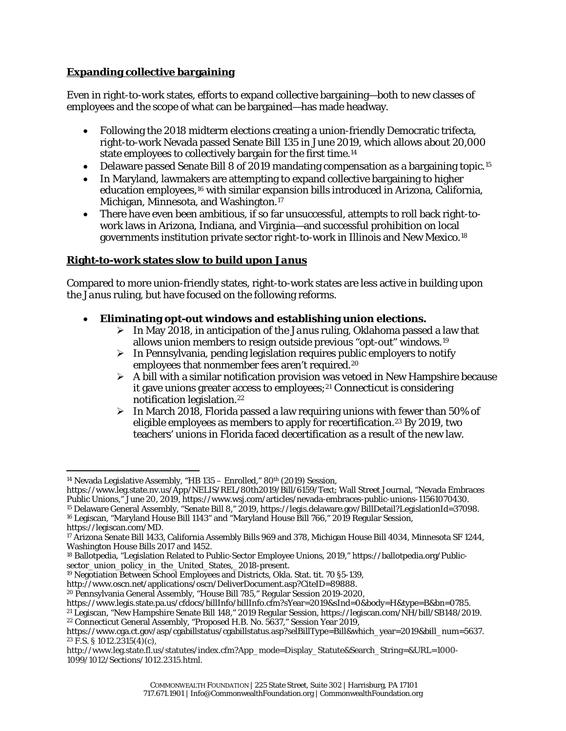## **Expanding collective bargaining**

Even in right-to-work states, efforts to expand collective bargaining—both to new classes of employees and the scope of what can be bargained—has made headway.

- Following the 2018 midterm elections creating a union-friendly Democratic trifecta, right-to-work Nevada passed Senate Bill 135 in June 2019, which allows about 20,000 state employees to collectively bargain for the first time.[14](#page-2-0)
- Delaware passed Senate Bill 8 of 2019 mandating compensation as a bargaining topic.<sup>[15](#page-2-1)</sup>
- In Maryland, lawmakers are attempting to expand collective bargaining to higher education employees,<sup>[16](#page-2-2)</sup> with similar expansion bills introduced in Arizona, California, Michigan, Minnesota, and Washington.<sup>[17](#page-2-3)</sup>
- There have even been ambitious, if so far unsuccessful, attempts to roll back right-towork laws in Arizona, Indiana, and Virginia—and successful prohibition on local governments institution private sector right-to-work in Illinois and New Mexico[.18](#page-2-4)

### **Right-to-work states slow to build upon** *Janus*

Compared to more union-friendly states, right-to-work states are less active in building upon the *Janus* ruling, but have focused on the following reforms.

- **Eliminating opt-out windows and establishing union elections.**
	- In May 2018, in anticipation of the *Janus* ruling, Oklahoma passed a law that allows union members to resign outside previous "opt-out" windows.[19](#page-2-5)
	- $\triangleright$  In Pennsylvania, pending legislation requires public employers to notify employees that nonmember fees aren't required.[20](#page-2-6)
	- $\triangleright$  A bill with a similar notification provision was vetoed in New Hampshire because it gave unions greater access to employees;<sup>[21](#page-2-7)</sup> Connecticut is considering notification legislation.[22](#page-2-8)
	- $\triangleright$  In March 2018, Florida passed a law requiring unions with fewer than 50% of eligible employees as members to apply for recertification.[23](#page-2-9) By 2019, two teachers' unions in Florida faced decertification as a result of the new law.

<span id="page-2-2"></span><span id="page-2-1"></span><sup>16</sup> Legiscan, "Maryland House Bill 1143" and "Maryland House Bill 766," 2019 Regular Session, https://legiscan.com/MD.

<span id="page-2-0"></span><sup>&</sup>lt;sup>14</sup> Nevada Legislative Assembly, "HB  $135$  – Enrolled,"  $80<sup>th</sup>$  (2019) Session,

https://www.leg.state.nv.us/App/NELIS/REL/80th2019/Bill/6159/Text; Wall Street Journal, "Nevada Embraces Public Unions," June 20, 2019, https://www.wsj.com/articles/nevada-embraces-public-unions-11561070430. <sup>15</sup> Delaware General Assembly, "Senate Bill 8," 2019, https://legis.delaware.gov/BillDetail?LegislationId=37098.

<span id="page-2-3"></span><sup>17</sup> Arizona Senate Bill 1433, California Assembly Bills 969 and 378, Michigan House Bill 4034, Minnesota SF 1244, Washington House Bills 2017 and 1452.

<span id="page-2-4"></span><sup>18</sup> Ballotpedia, "Legislation Related to Public-Sector Employee Unions, 2019," https://ballotpedia.org/Publicsector\_union\_policy\_in\_the\_United\_States,\_2018-present.

<span id="page-2-5"></span><sup>19</sup> Negotiation Between School Employees and Districts, Okla. Stat. tit. 70 §5-139,

http://www.oscn.net/applications/oscn/DeliverDocument.asp?CiteID=89888.

<span id="page-2-6"></span><sup>20</sup> Pennsylvania General Assembly, "House Bill 785," Regular Session 2019-2020,

https://www.legis.state.pa.us/cfdocs/billInfo/billInfo.cfm?sYear=2019&sInd=0&body=H&type=B&bn=0785.

<span id="page-2-7"></span><sup>&</sup>lt;sup>21</sup> Legiscan, "New Hampshire Senate Bill 148," 2019 Regular Session, https://legiscan.com/NH/bill/SB148/2019.

<span id="page-2-8"></span><sup>22</sup> Connecticut General Assembly, "Proposed H.B. No. 5637," Session Year 2019,

https://www.cga.ct.gov/asp/cgabillstatus/cgabillstatus.asp?selBillType=Bill&which\_year=2019&bill\_num=5637. <sup>23</sup> F.S. § 1012.2315(4)(c),

<span id="page-2-9"></span>http://www.leg.state.fl.us/statutes/index.cfm?App\_mode=Display\_Statute&Search\_String=&URL=1000- 1099/1012/Sections/1012.2315.html.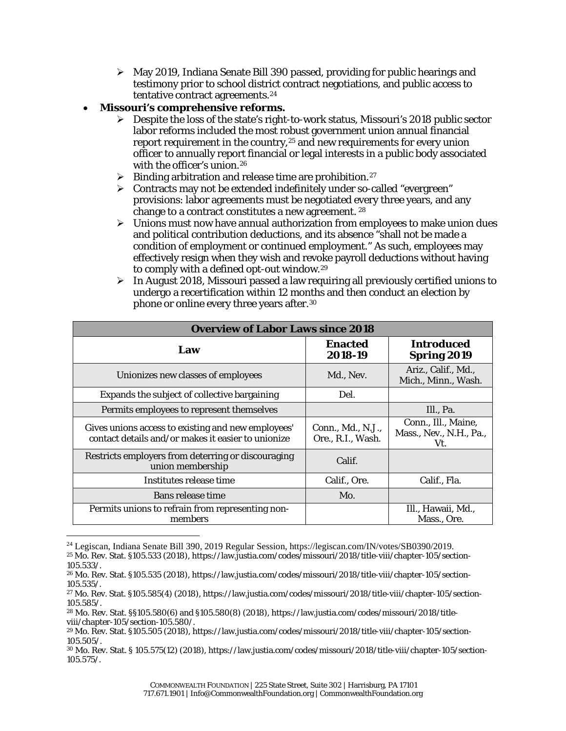$\triangleright$  May 2019, Indiana Senate Bill 390 passed, providing for public hearings and testimony prior to school district contract negotiations, and public access to tentative contract agreements.[24](#page-3-0)

### • **Missouri's comprehensive reforms.**

1

- $\triangleright$  Despite the loss of the state's right-to-work status, Missouri's 2018 public sector labor reforms included the most robust government union annual financial report requirement in the country,<sup>[25](#page-3-1)</sup> and new requirements for every union officer to annually report financial or legal interests in a public body associated with the officer's union.[26](#page-3-2)
- $\triangleright$  Binding arbitration and release time are prohibition.<sup>[27](#page-3-3)</sup>
- Contracts may not be extended indefinitely under so-called "evergreen" provisions: labor agreements must be negotiated every three years, and any change to a contract constitutes a new agreement. [28](#page-3-4)
- $\triangleright$  Unions must now have annual authorization from employees to make union dues and political contribution deductions, and its absence "shall not be made a condition of employment or continued employment." As such, employees may effectively resign when they wish and revoke payroll deductions without having to comply with a defined opt-out window.[29](#page-3-5)
- $\triangleright$  In August 2018, Missouri passed a law requiring all previously certified unions to undergo a recertification within 12 months and then conduct an election by phone or online every three years after.[30](#page-3-6)

| <b>Overview of Labor Laws since 2018</b>                                                                 |                                        |                                                       |  |  |
|----------------------------------------------------------------------------------------------------------|----------------------------------------|-------------------------------------------------------|--|--|
| Law                                                                                                      | <b>Enacted</b><br>2018-19              | <b>Introduced</b><br><b>Spring 2019</b>               |  |  |
| Unionizes new classes of employees                                                                       | Md., Nev.                              | Ariz., Calif., Md.,<br>Mich., Minn., Wash.            |  |  |
| Expands the subject of collective bargaining                                                             | Del.                                   |                                                       |  |  |
| Permits employees to represent themselves                                                                |                                        | Ill., Pa.                                             |  |  |
| Gives unions access to existing and new employees'<br>contact details and/or makes it easier to unionize | Conn., Md., N.J.,<br>Ore., R.I., Wash. | Conn., Ill., Maine,<br>Mass., Nev., N.H., Pa.,<br>Vt. |  |  |
| Restricts employers from deterring or discouraging<br>union membership                                   | Calif.                                 |                                                       |  |  |
| Institutes release time                                                                                  | Calif., Ore.                           | Calif., Fla.                                          |  |  |
| Bans release time                                                                                        | Mo.                                    |                                                       |  |  |
| Permits unions to refrain from representing non-<br>members                                              |                                        | Ill., Hawaii, Md.,<br>Mass., Ore.                     |  |  |

<span id="page-3-1"></span><span id="page-3-0"></span><sup>24</sup> Legiscan, Indiana Senate Bill 390, 2019 Regular Session, https://legiscan.com/IN/votes/SB0390/2019. <sup>25</sup> Mo. Rev. Stat. §105.533 (2018), https://law.justia.com/codes/missouri/2018/title-viii/chapter-105/section-105.533/.

<span id="page-3-2"></span><sup>26</sup> Mo. Rev. Stat. §105.535 (2018), https://law.justia.com/codes/missouri/2018/title-viii/chapter-105/section-105.535/.

<span id="page-3-3"></span><sup>27</sup> Mo. Rev. Stat. §105.585(4) (2018), https://law.justia.com/codes/missouri/2018/title-viii/chapter-105/section-105.585/.

<span id="page-3-4"></span><sup>28</sup> Mo. Rev. Stat. §§105.580(6) and §105.580(8) (2018), https://law.justia.com/codes/missouri/2018/titleviii/chapter-105/section-105.580/.

<span id="page-3-5"></span><sup>29</sup> Mo. Rev. Stat. §105.505 (2018), https://law.justia.com/codes/missouri/2018/title-viii/chapter-105/section-105.505/.

<span id="page-3-6"></span><sup>30</sup> Mo. Rev. Stat. § 105.575(12) (2018), https://law.justia.com/codes/missouri/2018/title-viii/chapter-105/section-105.575/.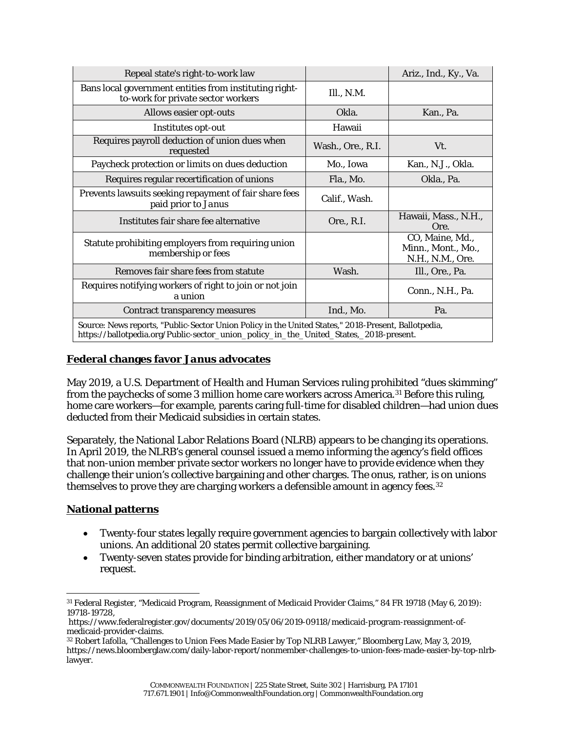| Repeal state's right-to-work law                                                                                                                                                              |                   | Ariz., Ind., Ky., Va.                                     |  |  |
|-----------------------------------------------------------------------------------------------------------------------------------------------------------------------------------------------|-------------------|-----------------------------------------------------------|--|--|
| Bans local government entities from instituting right-<br>to-work for private sector workers                                                                                                  | Ill., N.M.        |                                                           |  |  |
| Allows easier opt-outs                                                                                                                                                                        | Okla.             | Kan., Pa.                                                 |  |  |
| Institutes opt-out                                                                                                                                                                            | Hawaii            |                                                           |  |  |
| Requires payroll deduction of union dues when<br>requested                                                                                                                                    | Wash., Ore., R.I. | Vt.                                                       |  |  |
| Paycheck protection or limits on dues deduction                                                                                                                                               | Mo., Iowa         | Kan., N.J., Okla.                                         |  |  |
| Requires regular recertification of unions                                                                                                                                                    | Fla., Mo.         | Okla., Pa.                                                |  |  |
| Prevents lawsuits seeking repayment of fair share fees<br>paid prior to Janus                                                                                                                 | Calif., Wash.     |                                                           |  |  |
| Institutes fair share fee alternative                                                                                                                                                         | Ore., R.I.        | Hawaii, Mass., N.H.,<br>Ore.                              |  |  |
| Statute prohibiting employers from requiring union<br>membership or fees                                                                                                                      |                   | CO, Maine, Md.,<br>Minn., Mont., Mo.,<br>N.H., N.M., Ore. |  |  |
| Removes fair share fees from statute                                                                                                                                                          | Wash.             | Ill., Ore., Pa.                                           |  |  |
| Requires notifying workers of right to join or not join<br>a union                                                                                                                            |                   | Conn., N.H., Pa.                                          |  |  |
| Contract transparency measures                                                                                                                                                                | Ind., Mo.         | Pa.                                                       |  |  |
| Source: News reports, "Public-Sector Union Policy in the United States," 2018-Present, Ballotpedia,<br>https://ballotpedia.org/Public-sector_union_policy_in_the_United_States,_2018-present. |                   |                                                           |  |  |

#### **Federal changes favor** *Janus* **advocates**

May 2019, a U.S. Department of Health and Human Services ruling prohibited "dues skimming" from the paychecks of some 3 million home care workers across America[.31](#page-4-0) Before this ruling, home care workers—for example, parents caring full-time for disabled children—had union dues deducted from their Medicaid subsidies in certain states.

Separately, the National Labor Relations Board (NLRB) appears to be changing its operations. In April 2019, the NLRB's general counsel issued a memo informing the agency's field offices that non-union member private sector workers no longer have to provide evidence when they challenge their union's collective bargaining and other charges. The onus, rather, is on unions themselves to prove they are charging workers a defensible amount in agency fees.[32](#page-4-1)

#### **National patterns**

- Twenty-four states legally require government agencies to bargain collectively with labor unions. An additional 20 states permit collective bargaining.
- Twenty-seven states provide for binding arbitration, either mandatory or at unions' request.

<span id="page-4-0"></span> <sup>31</sup> Federal Register, "Medicaid Program, Reassignment of Medicaid Provider Claims," 84 FR 19718 (May 6, 2019): 19718-19728,

https://www.federalregister.gov/documents/2019/05/06/2019-09118/medicaid-program-reassignment-ofmedicaid-provider-claims.

<span id="page-4-1"></span><sup>32</sup> Robert Iafolla, "Challenges to Union Fees Made Easier by Top NLRB Lawyer," Bloomberg Law, May 3, 2019, https://news.bloomberglaw.com/daily-labor-report/nonmember-challenges-to-union-fees-made-easier-by-top-nlrblawyer.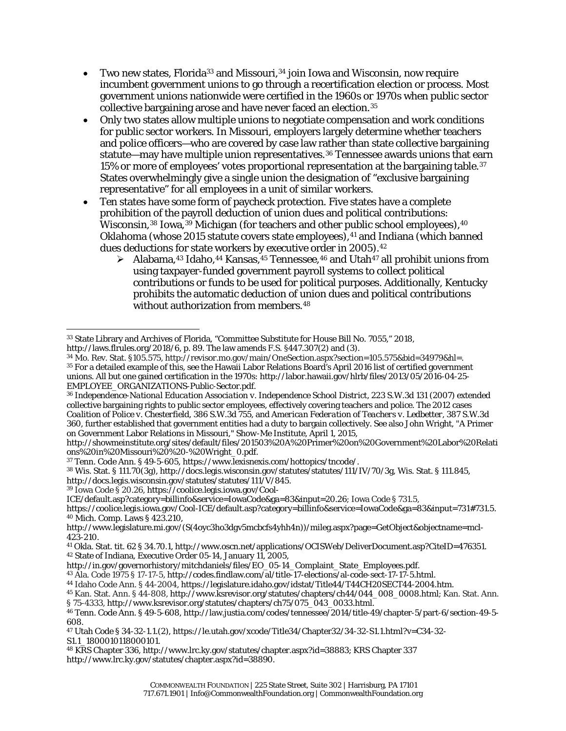- Two new states, Florida<sup>33</sup> and Missouri,<sup>[34](#page-5-1)</sup> join Iowa and Wisconsin, now require incumbent government unions to go through a recertification election or process. Most government unions nationwide were certified in the 1960s or 1970s when public sector collective bargaining arose and have never faced an election.[35](#page-5-2)
- Only two states allow multiple unions to negotiate compensation and work conditions for public sector workers. In Missouri, employers largely determine whether teachers and police officers—who are covered by case law rather than state collective bargaining statute—may have multiple union representatives.[36](#page-5-3) Tennessee awards unions that earn 15% or more of employees' votes proportional representation at the bargaining table.<sup>[37](#page-5-4)</sup> States overwhelmingly give a single union the designation of "exclusive bargaining representative" for all employees in a unit of similar workers.
- Ten states have some form of paycheck protection. Five states have a complete prohibition of the payroll deduction of union dues and political contributions: Wisconsin,<sup>[38](#page-5-5)</sup> Iowa,<sup>[39](#page-5-6)</sup> Michigan (for teachers and other public school employees),  $40$ Oklahoma (whose 2015 statute covers state employees), <sup>[41](#page-5-8)</sup> and Indiana (which banned dues deductions for state workers by executive order in 2005).<sup>[42](#page-5-9)</sup>
	- Alabama,<sup>43</sup> Idaho,<sup>[44](#page-5-11)</sup> Kansas, <sup>[45](#page-5-12)</sup> Tennessee, <sup>[46](#page-5-13)</sup> and Utah<sup>[47](#page-5-14)</sup> all prohibit unions from using taxpayer-funded government payroll systems to collect political contributions or funds to be used for political purposes. Additionally, Kentucky prohibits the automatic deduction of union dues and political contributions without authorization from members.<sup>[48](#page-5-15)</sup>

<span id="page-5-6"></span><sup>39</sup> Iowa Code § 20.26, [https://coolice.legis.iowa.gov/Cool-](https://coolice.legis.iowa.gov/Cool-ICE/default.asp?category=billinfo&service=IowaCode&ga=83&input=20.26)

<span id="page-5-9"></span>[http://in.gov/governorhistory/mitchdaniels/files/EO\\_05-14\\_Complaint\\_State\\_Employees.pdf.](http://in.gov/governorhistory/mitchdaniels/files/EO_05-14_Complaint_State_Employees.pdf)

<sup>44</sup> Idaho Code Ann. § 44-2004, [https://legislature.idaho.gov/idstat/Title44/T44CH20SECT44-2004.htm.](https://legislature.idaho.gov/idstat/Title44/T44CH20SECT44-2004.htm)

<span id="page-5-0"></span> <sup>33</sup> State Library and Archives of Florida, "Committee Substitute for House Bill No. 7055," 2018,

http://laws.flrules.org/2018/6, p. 89. The law amends F.S. §447.307(2) and (3).

<span id="page-5-2"></span><span id="page-5-1"></span><sup>34</sup> Mo. Rev. Stat. §105.575, http://revisor.mo.gov/main/OneSection.aspx?section=105.575&bid=34979&hl=. <sup>35</sup> For a detailed example of this, see the Hawaii Labor Relations Board's April 2016 list of certified government unions. All but one gained certification in the 1970s: [http://labor.hawaii.gov/hlrb/files/2013/05/2016-04-25-](http://labor.hawaii.gov/hlrb/files/2013/05/2016-04-25-EMPLOYEE_ORGANIZATIONS-Public-Sector.pdf)

[EMPLOYEE\\_ORGANIZATIONS-Public-Sector.pdf.](http://labor.hawaii.gov/hlrb/files/2013/05/2016-04-25-EMPLOYEE_ORGANIZATIONS-Public-Sector.pdf)

<span id="page-5-3"></span><sup>36</sup> I*ndependence-National Education Association v. Independence School District*, 223 S.W.3d 131 (2007) extended collective bargaining rights to public sector employees, effectively covering teachers and police. The 2012 cases *Coalition of Police v. Chesterfield*, 386 S.W.3d 755, and *American Federation of Teachers v. Ledbetter*, 387 S.W.3d 360, further established that government entities had a duty to bargain collectively. See also John Wright, "A Primer on Government Labor Relations in Missouri," *Show-Me Institute*, April 1, 2015,

[http://showmeinstitute.org/sites/default/files/201503%20A%20Primer%20on%20Government%20Labor%20Relati](http://showmeinstitute.org/sites/default/files/201503%25252520A%25252520Primer%25252520on%25252520Government%25252520Labor%25252520Relations%25252520in%25252520Missouri%25252520%25252520-%25252520Wright_0.pdf) [ons%20in%20Missouri%20%20-%20Wright\\_0.pdf.](http://showmeinstitute.org/sites/default/files/201503%25252520A%25252520Primer%25252520on%25252520Government%25252520Labor%25252520Relations%25252520in%25252520Missouri%25252520%25252520-%25252520Wright_0.pdf)

<span id="page-5-4"></span><sup>37</sup> Tenn. Code Ann. § 49-5-605, [https://www.lexisnexis.com/hottopics/tncode/.](https://www.lexisnexis.com/hottopics/tncode/)

<span id="page-5-5"></span><sup>38</sup> Wis. Stat. § 111.70(3g), http://docs.legis.wisconsin.gov/statutes/statutes/111/IV/70/3g, Wis. Stat. § 111.845, http://docs.legis.wisconsin.gov/statutes/statutes/111/V/845.

[ICE/default.asp?category=billinfo&service=IowaCode&ga=83&input=20.26;](https://coolice.legis.iowa.gov/Cool-ICE/default.asp?category=billinfo&service=IowaCode&ga=83&input=20.26) Iowa Code § 731.5,

[https://coolice.legis.iowa.gov/Cool-ICE/default.asp?category=billinfo&service=IowaCode&ga=83&input=731#731.5.](https://coolice.legis.iowa.gov/Cool-ICE/default.asp?category=billinfo&service=IowaCode&ga=83&input=731#731.5) <sup>40</sup> Mich. Comp. Laws § [423.210,](http://www.legislature.mi.gov/(S(xndskcwcjjwhqp3hc3wwgh1r))/mileg.aspx?page=GetObject&objectname=mcl-423-210)

<span id="page-5-7"></span>[http://www.legislature.mi.gov/\(S\(4oyc3ho3dgv5mcbcfs4yhh4n\)\)/mileg.aspx?page=GetObject&objectname=mcl-](http://www.legislature.mi.gov/(S(4oyc3ho3dgv5mcbcfs4yhh4n))/mileg.aspx?page=GetObject&objectname=mcl-423-210)[423-210.](http://www.legislature.mi.gov/(S(4oyc3ho3dgv5mcbcfs4yhh4n))/mileg.aspx?page=GetObject&objectname=mcl-423-210)

<span id="page-5-8"></span><sup>41</sup> Okla. Stat. tit. 62 § 34.70.1, [http://www.oscn.net/applications/OCISWeb/DeliverDocument.asp?CiteID=476351.](http://www.oscn.net/applications/OCISWeb/DeliverDocument.asp?CiteID=476351) <sup>42</sup> State of Indiana, Executive Order 05-14, January 11, 2005,

<span id="page-5-11"></span><span id="page-5-10"></span><sup>43</sup> Ala. Code 1975 § 17-17-5, [http://codes.findlaw.com/al/title-17-elections/al-code-sect-17-17-5.html.](http://codes.findlaw.com/al/title-17-elections/al-code-sect-17-17-5.html)

<span id="page-5-12"></span><sup>45</sup> Kan. Stat. Ann. § 44-808, [http://www.ksrevisor.org/statutes/chapters/ch44/044\\_008\\_0008.html;](http://www.ksrevisor.org/statutes/chapters/ch44/044_008_0008.html) Kan. Stat. Ann. § 75-4333, [http://www.ksrevisor.org/statutes/chapters/ch75/075\\_043\\_0033.html.](http://www.ksrevisor.org/statutes/chapters/ch75/075_043_0033.html)

<span id="page-5-13"></span><sup>46</sup> Tenn. Code Ann. § 49-5-608, [http://law.justia.com/codes/tennessee/2014/title-49/chapter-5/part-6/section-49-5-](http://law.justia.com/codes/tennessee/2014/title-49/chapter-5/part-6/section-49-5-608) [608.](http://law.justia.com/codes/tennessee/2014/title-49/chapter-5/part-6/section-49-5-608)

<span id="page-5-14"></span><sup>47</sup> Utah Code § 34-32-1.1.(2), [https://le.utah.gov/xcode/Title34/Chapter32/34-32-S1.1.html?v=C34-32-](https://le.utah.gov/xcode/Title34/Chapter32/34-32-S1.1.html?v=C34-32-S1.1_1800010118000101) [S1.1\\_1800010118000101.](https://le.utah.gov/xcode/Title34/Chapter32/34-32-S1.1.html?v=C34-32-S1.1_1800010118000101)

<span id="page-5-15"></span><sup>48</sup> KRS Chapter 336, http://www.lrc.ky.gov/statutes/chapter.aspx?id=38883; KRS Chapter 337 http://www.lrc.ky.gov/statutes/chapter.aspx?id=38890.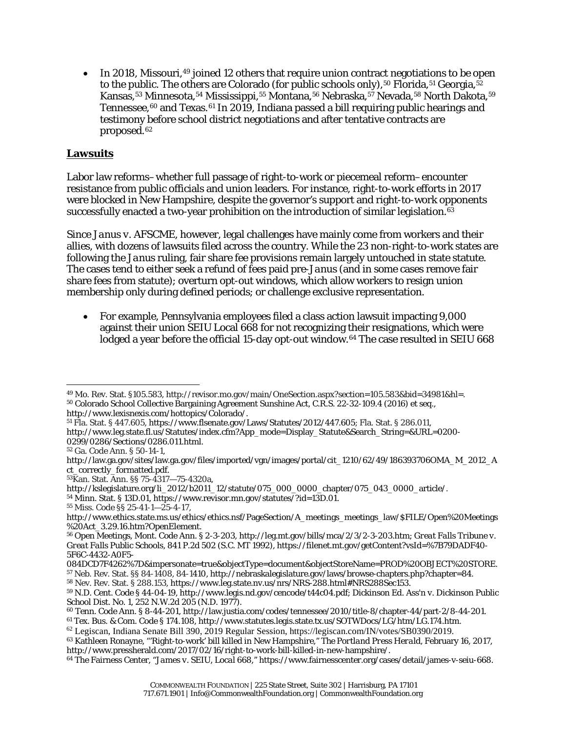• In 2018, Missouri, <sup>[49](#page-6-0)</sup> joined 12 others that require union contract negotiations to be open to the public. The others are Colorado (for public schools only),  $50$  Florida,  $51$  Georgia,  $52$ Kansas,<sup>[53](#page-6-4)</sup> Minnesota,<sup>[54](#page-6-5)</sup> Mississippi,<sup>[55](#page-6-6)</sup> Montana,<sup>[56](#page-6-7)</sup> Nebraska,<sup>[57](#page-6-8)</sup> Nevada,<sup>[58](#page-6-9)</sup> North Dakota,<sup>[59](#page-6-10)</sup> Tennessee,<sup>[60](#page-6-11)</sup> and Texas.<sup>[61](#page-6-12)</sup> In 2019, Indiana passed a bill requiring public hearings and testimony before school district negotiations and after tentative contracts are proposed.[62](#page-6-13)

### **Lawsuits**

Labor law reforms–whether full passage of right-to-work or piecemeal reform–encounter resistance from public officials and union leaders. For instance, right-to-work efforts in 2017 were blocked in New Hampshire, despite the governor's support and right-to-work opponents successfully enacted a two-year prohibition on the introduction of similar legislation.<sup>[63](#page-6-14)</sup>

Since *Janus v. AFSCME*, however, legal challenges have mainly come from workers and their allies, with dozens of lawsuits filed across the country. While the 23 non-right-to-work states are following the *Janus* ruling, fair share fee provisions remain largely untouched in state statute. The cases tend to either seek a refund of fees paid pre-*Janus* (and in some cases remove fair share fees from statute); overturn opt-out windows, which allow workers to resign union membership only during defined periods; or challenge exclusive representation.

• For example, Pennsylvania employees filed a class action lawsuit impacting 9,000 against their union SEIU Local 668 for not recognizing their resignations, which were lodged a year before the official 15-day opt-out window.<sup>[64](#page-6-15)</sup> The case resulted in SEIU 668

<span id="page-6-3"></span><sup>51</sup> Fla. Stat. § 447.605, [https://www.flsenate.gov/Laws/Statutes/2012/447.605;](https://www.flsenate.gov/Laws/Statutes/2012/447.605) Fla. Stat. § 286.011, [http://www.leg.state.fl.us/Statutes/index.cfm?App\\_mode=Display\\_Statute&Search\\_String=&URL=0200-](http://www.leg.state.fl.us/Statutes/index.cfm?App_mode=Display_Statute&Search_String=&URL=0200-0299/0286/Sections/0286.011.html) [0299/0286/Sections/0286.011.html.](http://www.leg.state.fl.us/Statutes/index.cfm?App_mode=Display_Statute&Search_String=&URL=0200-0299/0286/Sections/0286.011.html)

<sup>54</sup> Minn. Stat. § 13D.01, [https://www.revisor.mn.gov/statutes/?id=13D.01.](https://www.revisor.mn.gov/statutes/?id=13D.01)

<span id="page-6-9"></span><span id="page-6-8"></span>[084DCD7F4262%7D&impersonate=true&objectType=document&objectStoreName=PROD%20OBJECT%20STORE.](https://filenet.mt.gov/getContent?vsId=%2525257B79DADF40-5F6C-4432-A0F5-084DCD7F4262%2525257D&impersonate=true&objectType=document&objectStoreName=PROD%25252520OBJECT%25252520STORE)

<span id="page-6-10"></span><sup>57</sup> Neb. Rev. Stat. §§ 84-1408, 84-1410, http://nebraskalegislature.gov/laws/browse-chapters.php?chapter=84. <sup>58</sup> Nev. Rev. Stat. § 288.153, [https://www.leg.state.nv.us/nrs/NRS-288.html#NRS288Sec153.](https://www.leg.state.nv.us/nrs/NRS-288.html#NRS288Sec153)

<span id="page-6-2"></span><span id="page-6-1"></span><span id="page-6-0"></span> <sup>49</sup> Mo. Rev. Stat. §105.583, http://revisor.mo.gov/main/OneSection.aspx?section=105.583&bid=34981&hl=. <sup>50</sup> Colorado School Collective Bargaining Agreement Sunshine Act, C.R.S. 22-32-109.4 (2016) et seq., [http://www.lexisnexis.com/hottopics/Colorado/.](http://www.lexisnexis.com/hottopics/Colorado/)

<sup>52</sup> Ga. Code Ann. § 50-14-1,

<span id="page-6-4"></span>[http://law.ga.gov/sites/law.ga.gov/files/imported/vgn/images/portal/cit\\_1210/62/49/186393706OMA\\_M\\_2012\\_A](http://law.ga.gov/sites/law.ga.gov/files/imported/vgn/images/portal/cit_1210/62/49/186393706OMA_M_2012_Act_correctly_formatted.pdf) [ct\\_correctly\\_formatted.pdf.](http://law.ga.gov/sites/law.ga.gov/files/imported/vgn/images/portal/cit_1210/62/49/186393706OMA_M_2012_Act_correctly_formatted.pdf)

<span id="page-6-5"></span><sup>53</sup>Kan. Stat. Ann. §§ 75-4317—75-4320a,

<span id="page-6-6"></span>[http://kslegislature.org/li\\_2012/b2011\\_12/statute/075\\_000\\_0000\\_chapter/075\\_043\\_0000\\_article/.](http://kslegislature.org/li_2012/b2011_12/statute/075_000_0000_chapter/075_043_0000_article/)

<sup>55</sup> Miss. Code §§ 25-41-1—25-4-17,

<span id="page-6-7"></span>http://www.ethics.state.ms.us/ethics/ethics.nsf/PageSection/A\_meetings\_meetings\_law/\$FILE/Open%20Meetings %20Act\_3.29.16.htm?OpenElement.

<sup>56</sup> Open Meetings, Mont. Code Ann. § 2-3-203, http://leg.mt.gov/bills/mca/2/3/2-3-203.htm; *Great Falls Tribune v. Great Falls Public Schools*, 841 P.2d 502 (S.C. MT 1992), [https://filenet.mt.gov/getContent?vsId=%7B79DADF40-](https://filenet.mt.gov/getContent?vsId=%2525257B79DADF40-5F6C-4432-A0F5-084DCD7F4262%2525257D&impersonate=true&objectType=document&objectStoreName=PROD%25252520OBJECT%25252520STORE) [5F6C-4432-A0F5-](https://filenet.mt.gov/getContent?vsId=%2525257B79DADF40-5F6C-4432-A0F5-084DCD7F4262%2525257D&impersonate=true&objectType=document&objectStoreName=PROD%25252520OBJECT%25252520STORE)

<span id="page-6-11"></span><sup>59</sup> N.D. Cent. Code § 44-04-19, [http://www.legis.nd.gov/cencode/t44c04.pdf;](http://www.legis.nd.gov/cencode/t44c04.pdf) *Dickinson Ed. Ass'n v. Dickinson Public School Dist. No. 1*, 252 N.W.2d 205 (N.D. 1977).

<span id="page-6-13"></span><span id="page-6-12"></span><sup>60</sup> Tenn. Code Ann. § 8-44-201, [http://law.justia.com/codes/tennessee/2010/title-8/chapter-44/part-2/8-44-201.](http://law.justia.com/codes/tennessee/2010/title-8/chapter-44/part-2/8-44-201)

<sup>61</sup> Tex. Bus. & Com. Code § 174.108, [http://www.statutes.legis.state.tx.us/SOTWDocs/LG/htm/LG.174.htm.](http://www.statutes.legis.state.tx.us/SOTWDocs/LG/htm/LG.174.htm)

<sup>62</sup> Legiscan, Indiana Senate Bill 390, 2019 Regular Session, https://legiscan.com/IN/votes/SB0390/2019.

<span id="page-6-14"></span><sup>63</sup> Kathleen Ronayne, "'Right-to-work' bill killed in New Hampshire," *The Portland Press Herald*, February 16, 2017, http://www.pressherald.com/2017/02/16/right-to-work-bill-killed-in-new-hampshire/.

<span id="page-6-15"></span><sup>64</sup> The Fairness Center, "*James v. SEIU, Local 668*," https://www.fairnesscenter.org/cases/detail/james-v-seiu-668.